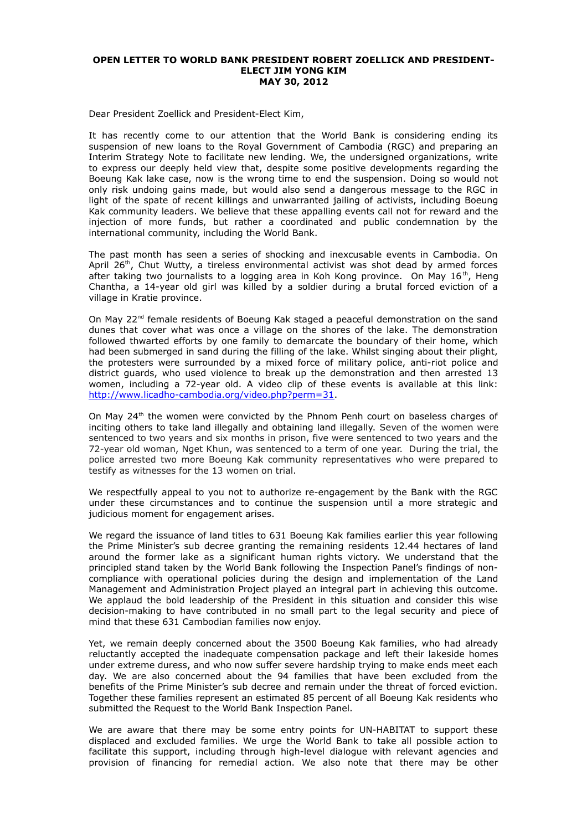## **OPEN LETTER TO WORLD BANK PRESIDENT ROBERT ZOELLICK AND PRESIDENT-ELECT JIM YONG KIM MAY 30, 2012**

Dear President Zoellick and President-Elect Kim,

It has recently come to our attention that the World Bank is considering ending its suspension of new loans to the Royal Government of Cambodia (RGC) and preparing an Interim Strategy Note to facilitate new lending. We, the undersigned organizations, write to express our deeply held view that, despite some positive developments regarding the Boeung Kak lake case, now is the wrong time to end the suspension. Doing so would not only risk undoing gains made, but would also send a dangerous message to the RGC in light of the spate of recent killings and unwarranted jailing of activists, including Boeung Kak community leaders. We believe that these appalling events call not for reward and the injection of more funds, but rather a coordinated and public condemnation by the international community, including the World Bank.

The past month has seen a series of shocking and inexcusable events in Cambodia. On April 26<sup>th</sup>, Chut Wutty, a tireless environmental activist was shot dead by armed forces after taking two journalists to a logging area in Koh Kong province. On May  $16<sup>th</sup>$ , Heng Chantha, a 14-year old girl was killed by a soldier during a brutal forced eviction of a village in Kratie province.

On May 22<sup>nd</sup> female residents of Boeung Kak staged a peaceful demonstration on the sand dunes that cover what was once a village on the shores of the lake. The demonstration followed thwarted efforts by one family to demarcate the boundary of their home, which had been submerged in sand during the filling of the lake. Whilst singing about their plight, the protesters were surrounded by a mixed force of military police, anti-riot police and district guards, who used violence to break up the demonstration and then arrested 13 women, including a 72-year old. A video clip of these events is available at this link: [http://www.licadho-cambodia.org/video.php?perm=31.](http://www.licadho-cambodia.org/video.php?perm=31)

On May  $24<sup>th</sup>$  the women were convicted by the Phnom Penh court on baseless charges of inciting others to take land illegally and obtaining land illegally. Seven of the women were sentenced to two years and six months in prison, five were sentenced to two years and the 72-year old woman, Nget Khun, was sentenced to a term of one year. During the trial, the police arrested two more Boeung Kak community representatives who were prepared to testify as witnesses for the 13 women on trial.

We respectfully appeal to you not to authorize re-engagement by the Bank with the RGC under these circumstances and to continue the suspension until a more strategic and judicious moment for engagement arises.

We regard the issuance of land titles to 631 Boeung Kak families earlier this year following the Prime Minister's sub decree granting the remaining residents 12.44 hectares of land around the former lake as a significant human rights victory. We understand that the principled stand taken by the World Bank following the Inspection Panel's findings of noncompliance with operational policies during the design and implementation of the Land Management and Administration Project played an integral part in achieving this outcome. We applaud the bold leadership of the President in this situation and consider this wise decision-making to have contributed in no small part to the legal security and piece of mind that these 631 Cambodian families now enjoy.

Yet, we remain deeply concerned about the 3500 Boeung Kak families, who had already reluctantly accepted the inadequate compensation package and left their lakeside homes under extreme duress, and who now suffer severe hardship trying to make ends meet each day. We are also concerned about the 94 families that have been excluded from the benefits of the Prime Minister's sub decree and remain under the threat of forced eviction. Together these families represent an estimated 85 percent of all Boeung Kak residents who submitted the Request to the World Bank Inspection Panel.

We are aware that there may be some entry points for UN-HABITAT to support these displaced and excluded families. We urge the World Bank to take all possible action to facilitate this support, including through high-level dialogue with relevant agencies and provision of financing for remedial action. We also note that there may be other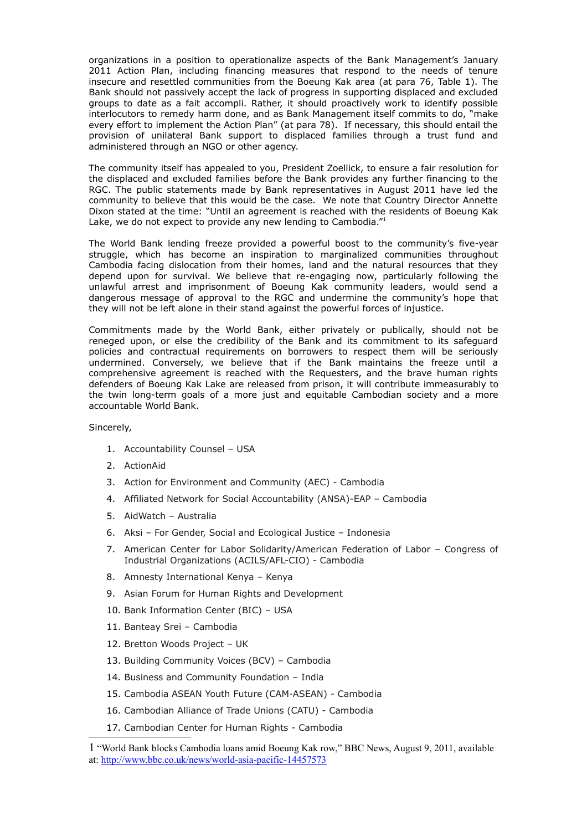organizations in a position to operationalize aspects of the Bank Management's January 2011 Action Plan, including financing measures that respond to the needs of tenure insecure and resettled communities from the Boeung Kak area (at para 76, Table 1). The Bank should not passively accept the lack of progress in supporting displaced and excluded groups to date as a fait accompli. Rather, it should proactively work to identify possible interlocutors to remedy harm done, and as Bank Management itself commits to do, "make every effort to implement the Action Plan" (at para 78). If necessary, this should entail the provision of unilateral Bank support to displaced families through a trust fund and administered through an NGO or other agency.

The community itself has appealed to you, President Zoellick, to ensure a fair resolution for the displaced and excluded families before the Bank provides any further financing to the RGC. The public statements made by Bank representatives in August 2011 have led the community to believe that this would be the case. We note that Country Director Annette Dixon stated at the time: "Until an agreement is reached with the residents of Boeung Kak Lake, we do not expect to provide any new lending to Cambodia."<sup>[1](#page-1-0)</sup>

The World Bank lending freeze provided a powerful boost to the community's five-year struggle, which has become an inspiration to marginalized communities throughout Cambodia facing dislocation from their homes, land and the natural resources that they depend upon for survival. We believe that re-engaging now, particularly following the unlawful arrest and imprisonment of Boeung Kak community leaders, would send a dangerous message of approval to the RGC and undermine the community's hope that they will not be left alone in their stand against the powerful forces of injustice.

Commitments made by the World Bank, either privately or publically, should not be reneged upon, or else the credibility of the Bank and its commitment to its safeguard policies and contractual requirements on borrowers to respect them will be seriously undermined. Conversely, we believe that if the Bank maintains the freeze until a comprehensive agreement is reached with the Requesters, and the brave human rights defenders of Boeung Kak Lake are released from prison, it will contribute immeasurably to the twin long-term goals of a more just and equitable Cambodian society and a more accountable World Bank.

Sincerely,

- 1. Accountability Counsel USA
- 2. ActionAid
- 3. Action for Environment and Community (AEC) Cambodia
- 4. Affiliated Network for Social Accountability (ANSA)-EAP Cambodia
- 5. AidWatch Australia
- 6. Aksi For Gender, Social and Ecological Justice Indonesia
- 7. American Center for Labor Solidarity/American Federation of Labor Congress of Industrial Organizations (ACILS/AFL-CIO) - Cambodia
- 8. Amnesty International Kenya Kenya
- 9. Asian Forum for Human Rights and Development
- 10. Bank Information Center (BIC) USA
- 11. Banteay Srei Cambodia
- 12. Bretton Woods Project UK
- 13. Building Community Voices (BCV) Cambodia
- 14. Business and Community Foundation India
- 15. Cambodia ASEAN Youth Future (CAM-ASEAN) Cambodia
- 16. Cambodian Alliance of Trade Unions (CATU) Cambodia
- 17. Cambodian Center for Human Rights Cambodia

<span id="page-1-0"></span><sup>1</sup> "World Bank blocks Cambodia loans amid Boeung Kak row," BBC News, August 9, 2011, available at:<http://www.bbc.co.uk/news/world-asia-pacific-14457573>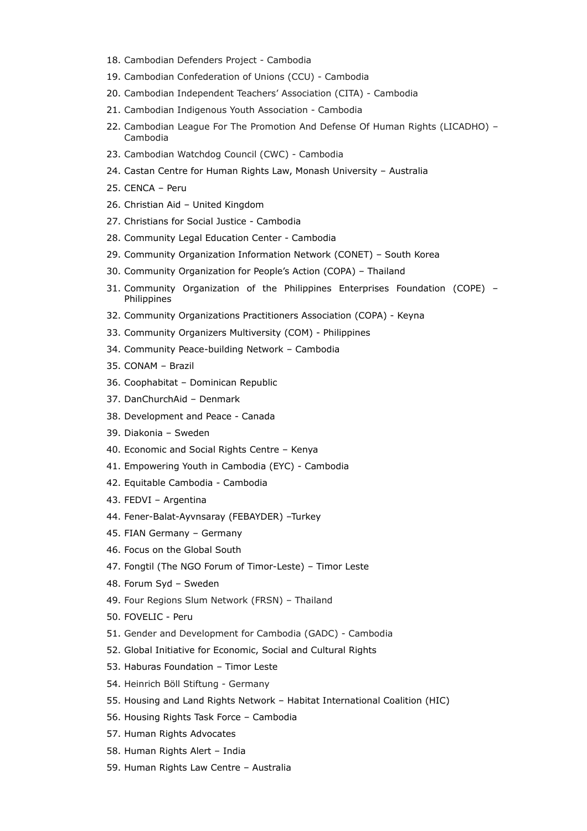- 18. Cambodian Defenders Project Cambodia
- 19. Cambodian Confederation of Unions (CCU) Cambodia
- 20. Cambodian Independent Teachers' Association (CITA) Cambodia
- 21. Cambodian Indigenous Youth Association Cambodia
- 22. Cambodian League For The Promotion And Defense Of Human Rights (LICADHO) Cambodia
- 23. Cambodian Watchdog Council (CWC) Cambodia
- 24. Castan Centre for Human Rights Law, Monash University Australia
- 25. CENCA Peru
- 26. Christian Aid United Kingdom
- 27. Christians for Social Justice Cambodia
- 28. Community Legal Education Center Cambodia
- 29. Community Organization Information Network (CONET) South Korea
- 30. Community Organization for People's Action (COPA) Thailand
- 31. Community Organization of the Philippines Enterprises Foundation (COPE) Philippines
- 32. Community Organizations Practitioners Association (COPA) Keyna
- 33. Community Organizers Multiversity (COM) Philippines
- 34. Community Peace-building Network Cambodia
- 35. CONAM Brazil
- 36. Coophabitat Dominican Republic
- 37. DanChurchAid Denmark
- 38. Development and Peace Canada
- 39. Diakonia Sweden
- 40. Economic and Social Rights Centre Kenya
- 41. Empowering Youth in Cambodia (EYC) Cambodia
- 42. Equitable Cambodia Cambodia
- 43. FEDVI Argentina
- 44. Fener-Balat-Ayvnsaray (FEBAYDER) –Turkey
- 45. FIAN Germany Germany
- 46. Focus on the Global South
- 47. Fongtil (The NGO Forum of Timor-Leste) Timor Leste
- 48. Forum Syd Sweden
- 49. Four Regions Slum Network (FRSN) Thailand
- 50. FOVELIC Peru
- 51. Gender and Development for Cambodia (GADC) Cambodia
- 52. Global Initiative for Economic, Social and Cultural Rights
- 53. Haburas Foundation Timor Leste
- 54. Heinrich Böll Stiftung Germany
- 55. Housing and Land Rights Network Habitat International Coalition (HIC)
- 56. Housing Rights Task Force Cambodia
- 57. Human Rights Advocates
- 58. Human Rights Alert India
- 59. Human Rights Law Centre Australia